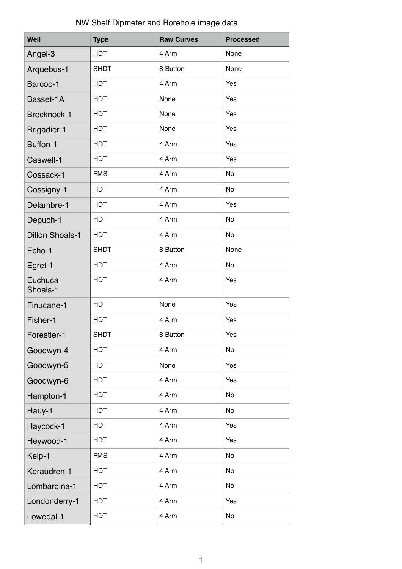## NW Shelf Dipmeter and Borehole image data

| Well                   | <b>Type</b> | <b>Raw Curves</b> | <b>Processed</b> |
|------------------------|-------------|-------------------|------------------|
| Angel-3                | <b>HDT</b>  | 4 Arm             | None             |
| Arquebus-1             | <b>SHDT</b> | 8 Button          | None             |
| Barcoo-1               | <b>HDT</b>  | 4 Arm             | Yes              |
| Basset-1A              | <b>HDT</b>  | None              | Yes              |
| Brecknock-1            | <b>HDT</b>  | None              | Yes              |
| <b>Brigadier-1</b>     | <b>HDT</b>  | None              | Yes              |
| Buffon-1               | <b>HDT</b>  | 4 Arm             | Yes              |
| Caswell-1              | <b>HDT</b>  | 4 Arm             | Yes              |
| Cossack-1              | <b>FMS</b>  | 4 Arm             | No               |
| Cossigny-1             | <b>HDT</b>  | 4 Arm             | No               |
| Delambre-1             | <b>HDT</b>  | 4 Arm             | Yes              |
| Depuch-1               | <b>HDT</b>  | 4 Arm             | <b>No</b>        |
| <b>Dillon Shoals-1</b> | <b>HDT</b>  | 4 Arm             | <b>No</b>        |
| Echo-1                 | <b>SHDT</b> | 8 Button          | None             |
| Egret-1                | <b>HDT</b>  | 4 Arm             | No               |
| Euchuca<br>Shoals-1    | <b>HDT</b>  | 4 Arm             | Yes              |
| Finucane-1             | <b>HDT</b>  | None              | Yes              |
| Fisher-1               | <b>HDT</b>  | 4 Arm             | Yes              |
| Forestier-1            | <b>SHDT</b> | 8 Button          | <b>Yes</b>       |
| Goodwyn-4              | <b>HDT</b>  | 4 Arm             | No               |
| Goodwyn-5              | <b>HDT</b>  | None              | Yes              |
| Goodwyn-6              | <b>HDT</b>  | 4 Arm             | Yes              |
| Hampton-1              | <b>HDT</b>  | 4 Arm             | No               |
| Hauy-1                 | <b>HDT</b>  | 4 Arm             | No               |
| Haycock-1              | <b>HDT</b>  | 4 Arm             | Yes              |
| Heywood-1              | <b>HDT</b>  | 4 Arm             | Yes              |
| Kelp-1                 | <b>FMS</b>  | 4 Arm             | No               |
| Keraudren-1            | <b>HDT</b>  | 4 Arm             | No               |
| Lombardina-1           | <b>HDT</b>  | 4 Arm             | No               |
| Londonderry-1          | <b>HDT</b>  | 4 Arm             | Yes              |
| Lowedal-1              | <b>HDT</b>  | 4 Arm             | No               |